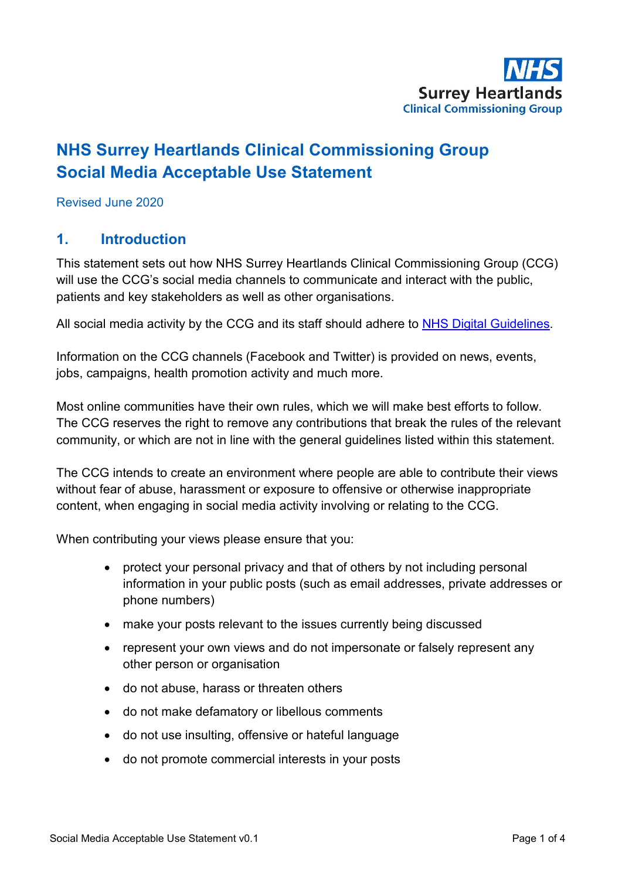

# **NHS Surrey Heartlands Clinical Commissioning Group Social Media Acceptable Use Statement**

Revised June 2020

#### **1. Introduction**

This statement sets out how NHS Surrey Heartlands Clinical Commissioning Group (CCG) will use the CCG's social media channels to communicate and interact with the public, patients and key stakeholders as well as other organisations.

All social media activity by the CCG and its staff should adhere to [NHS Digital Guidelines.](https://digital.nhs.uk/about-nhs-digital/corporate-information-and-documents/nhs-digital-style-guidelines/how-we-talk/social-media)

Information on the CCG channels (Facebook and Twitter) is provided on news, events, jobs, campaigns, health promotion activity and much more.

Most online communities have their own rules, which we will make best efforts to follow. The CCG reserves the right to remove any contributions that break the rules of the relevant community, or which are not in line with the general guidelines listed within this statement.

The CCG intends to create an environment where people are able to contribute their views without fear of abuse, harassment or exposure to offensive or otherwise inappropriate content, when engaging in social media activity involving or relating to the CCG.

When contributing your views please ensure that you:

- protect your personal privacy and that of others by not including personal information in your public posts (such as email addresses, private addresses or phone numbers)
- make your posts relevant to the issues currently being discussed
- represent your own views and do not impersonate or falsely represent any other person or organisation
- do not abuse, harass or threaten others
- do not make defamatory or libellous comments
- do not use insulting, offensive or hateful language
- do not promote commercial interests in your posts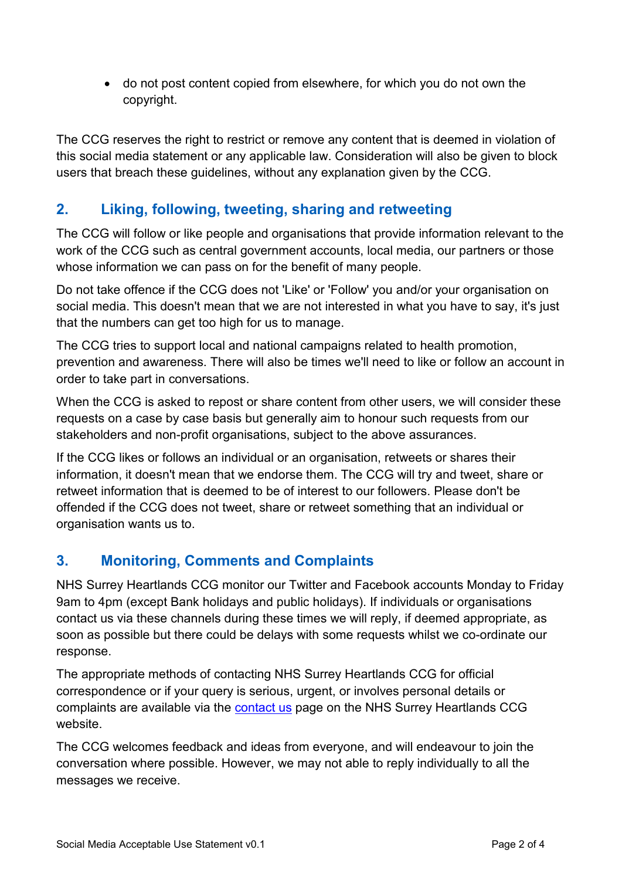• do not post content copied from elsewhere, for which you do not own the copyright.

The CCG reserves the right to restrict or remove any content that is deemed in violation of this social media statement or any applicable law. Consideration will also be given to block users that breach these guidelines, without any explanation given by the CCG.

## **2. Liking, following, tweeting, sharing and retweeting**

The CCG will follow or like people and organisations that provide information relevant to the work of the CCG such as central government accounts, local media, our partners or those whose information we can pass on for the benefit of many people.

Do not take offence if the CCG does not 'Like' or 'Follow' you and/or your organisation on social media. This doesn't mean that we are not interested in what you have to say, it's just that the numbers can get too high for us to manage.

The CCG tries to support local and national campaigns related to health promotion, prevention and awareness. There will also be times we'll need to like or follow an account in order to take part in conversations.

When the CCG is asked to repost or share content from other users, we will consider these requests on a case by case basis but generally aim to honour such requests from our stakeholders and non-profit organisations, subject to the above assurances.

If the CCG likes or follows an individual or an organisation, retweets or shares their information, it doesn't mean that we endorse them. The CCG will try and tweet, share or retweet information that is deemed to be of interest to our followers. Please don't be offended if the CCG does not tweet, share or retweet something that an individual or organisation wants us to.

## **3. Monitoring, Comments and Complaints**

NHS Surrey Heartlands CCG monitor our Twitter and Facebook accounts Monday to Friday 9am to 4pm (except Bank holidays and public holidays). If individuals or organisations contact us via these channels during these times we will reply, if deemed appropriate, as soon as possible but there could be delays with some requests whilst we co-ordinate our response.

The appropriate methods of contacting NHS Surrey Heartlands CCG for official correspondence or if your query is serious, urgent, or involves personal details or complaints are available via the [contact us](http://surreyheartlands.nhsdigital.org.uk/index.php?option=com_content&view=article&id=116&Itemid=323) page on the NHS Surrey Heartlands CCG website.

The CCG welcomes feedback and ideas from everyone, and will endeavour to join the conversation where possible. However, we may not able to reply individually to all the messages we receive.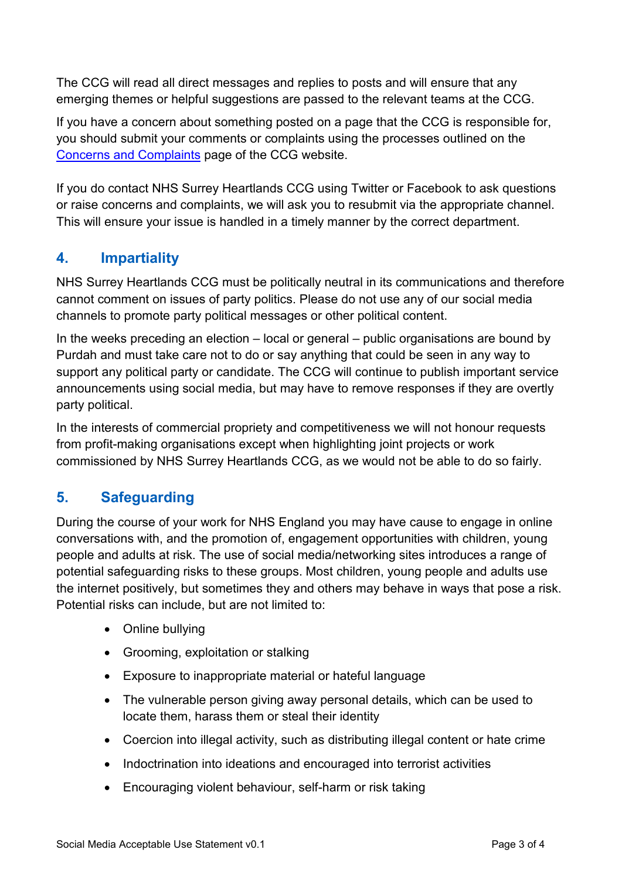The CCG will read all direct messages and replies to posts and will ensure that any emerging themes or helpful suggestions are passed to the relevant teams at the CCG.

If you have a concern about something posted on a page that the CCG is responsible for, you should submit your comments or complaints using the processes outlined on the [Concerns and Complaints](http://surreyheartlands.nhsdigital.org.uk/index.php?option=com_content&view=article&id=122&Itemid=347) page of the CCG website.

If you do contact NHS Surrey Heartlands CCG using Twitter or Facebook to ask questions or raise concerns and complaints, we will ask you to resubmit via the appropriate channel. This will ensure your issue is handled in a timely manner by the correct department.

## **4. Impartiality**

NHS Surrey Heartlands CCG must be politically neutral in its communications and therefore cannot comment on issues of party politics. Please do not use any of our social media channels to promote party political messages or other political content.

In the weeks preceding an election – local or general – public organisations are bound by Purdah and must take care not to do or say anything that could be seen in any way to support any political party or candidate. The CCG will continue to publish important service announcements using social media, but may have to remove responses if they are overtly party political.

In the interests of commercial propriety and competitiveness we will not honour requests from profit-making organisations except when highlighting joint projects or work commissioned by NHS Surrey Heartlands CCG, as we would not be able to do so fairly.

## **5. Safeguarding**

During the course of your work for NHS England you may have cause to engage in online conversations with, and the promotion of, engagement opportunities with children, young people and adults at risk. The use of social media/networking sites introduces a range of potential safeguarding risks to these groups. Most children, young people and adults use the internet positively, but sometimes they and others may behave in ways that pose a risk. Potential risks can include, but are not limited to:

- Online bullying
- Grooming, exploitation or stalking
- Exposure to inappropriate material or hateful language
- The vulnerable person giving away personal details, which can be used to locate them, harass them or steal their identity
- Coercion into illegal activity, such as distributing illegal content or hate crime
- Indoctrination into ideations and encouraged into terrorist activities
- Encouraging violent behaviour, self-harm or risk taking